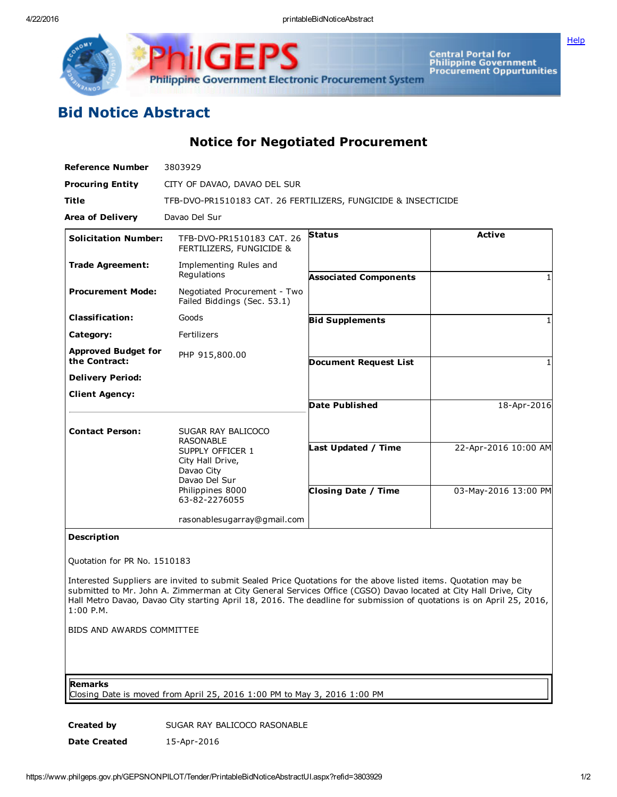

Central Portal for<br>Philippine Government<br>Procurement Oppurtunities Philippine Government Electronic Procurement System

## Bid Notice Abstract

Notice for Negotiated Procurement

GE

| <b>Reference Number</b>                     | 3803929                                                                                                  |                              |                      |
|---------------------------------------------|----------------------------------------------------------------------------------------------------------|------------------------------|----------------------|
| <b>Procuring Entity</b>                     | CITY OF DAVAO, DAVAO DEL SUR                                                                             |                              |                      |
| Title                                       | TFB-DVO-PR1510183 CAT. 26 FERTILIZERS, FUNGICIDE & INSECTICIDE                                           |                              |                      |
| <b>Area of Delivery</b>                     | Davao Del Sur                                                                                            |                              |                      |
| <b>Solicitation Number:</b>                 | TFB-DVO-PR1510183 CAT. 26<br>FERTILIZERS, FUNGICIDE &                                                    | <b>Status</b>                | <b>Active</b>        |
| <b>Trade Agreement:</b>                     | Implementing Rules and<br>Regulations                                                                    | <b>Associated Components</b> |                      |
| <b>Procurement Mode:</b>                    | Negotiated Procurement - Two<br>Failed Biddings (Sec. 53.1)                                              |                              |                      |
| <b>Classification:</b>                      | Goods                                                                                                    | <b>Bid Supplements</b>       |                      |
| Category:                                   | Fertilizers                                                                                              |                              |                      |
| <b>Approved Budget for</b><br>the Contract: | PHP 915,800.00                                                                                           | <b>Document Request List</b> |                      |
| <b>Delivery Period:</b>                     |                                                                                                          |                              |                      |
| <b>Client Agency:</b>                       |                                                                                                          |                              |                      |
|                                             |                                                                                                          | <b>Date Published</b>        | 18-Apr-2016          |
| <b>Contact Person:</b>                      | SUGAR RAY BALICOCO<br><b>RASONABLE</b>                                                                   |                              |                      |
|                                             | SUPPLY OFFICER 1<br>City Hall Drive,<br>Davao City<br>Davao Del Sur<br>Philippines 8000<br>63-82-2276055 | Last Updated / Time          | 22-Apr-2016 10:00 AM |
|                                             |                                                                                                          | <b>Closing Date / Time</b>   | 03-May-2016 13:00 PM |
|                                             | rasonablesugarray@gmail.com                                                                              |                              |                      |

## Description

Quotation for PR No. 1510183

Interested Suppliers are invited to submit Sealed Price Quotations for the above listed items. Quotation may be submitted to Mr. John A. Zimmerman at City General Services Office (CGSO) Davao located at City Hall Drive, City Hall Metro Davao, Davao City starting April 18, 2016. The deadline for submission of quotations is on April 25, 2016, 1:00 P.M.

BIDS AND AWARDS COMMITTEE

Remarks

Closing Date is moved from April 25, 2016 1:00 PM to May 3, 2016 1:00 PM

Created by SUGAR RAY BALICOCO RASONABLE Date Created 15-Apr-2016